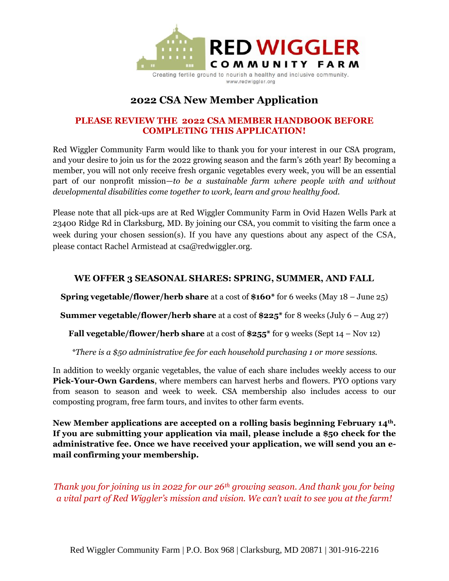

## **2022 CSA New Member Application**

## **PLEASE REVIEW THE 2022 CSA MEMBER HANDBOOK BEFORE COMPLETING THIS APPLICATION!**

Red Wiggler Community Farm would like to thank you for your interest in our CSA program, and your desire to join us for the 2022 growing season and the farm's 26th year! By becoming a member, you will not only receive fresh organic vegetables every week, you will be an essential part of our nonprofit mission—*to be a sustainable farm where people with and without developmental disabilities come together to work, learn and grow healthy food.*

Please note that all pick-ups are at Red Wiggler Community Farm in Ovid Hazen Wells Park at 23400 Ridge Rd in Clarksburg, MD. By joining our CSA, you commit to visiting the farm once a week during your chosen session(s). If you have any questions about any aspect of the CSA, please contact Rachel Armistead at csa@redwiggler.org.

## **WE OFFER 3 SEASONAL SHARES: SPRING, SUMMER, AND FALL**

**Spring vegetable/flower/herb share** at a cost of **\$160\*** for 6 weeks (May 18 – June 25)

**Summer vegetable/flower/herb share** at a cost of **\$225\*** for 8 weeks (July 6 – Aug 27)

**Fall vegetable/flower/herb share** at a cost of **\$255\*** for 9 weeks (Sept 14 – Nov 12)

*\*There is a \$50 administrative fee for each household purchasing 1 or more sessions.*

In addition to weekly organic vegetables, the value of each share includes weekly access to our **Pick-Your-Own Gardens**, where members can harvest herbs and flowers. PYO options vary from season to season and week to week. CSA membership also includes access to our composting program, free farm tours, and invites to other farm events.

**New Member applications are accepted on a rolling basis beginning February 14th. If you are submitting your application via mail, please include a \$50 check for the administrative fee. Once we have received your application, we will send you an email confirming your membership.**

*Thank you for joining us in 2022 for our 26th growing season. And thank you for being a vital part of Red Wiggler's mission and vision. We can't wait to see you at the farm!*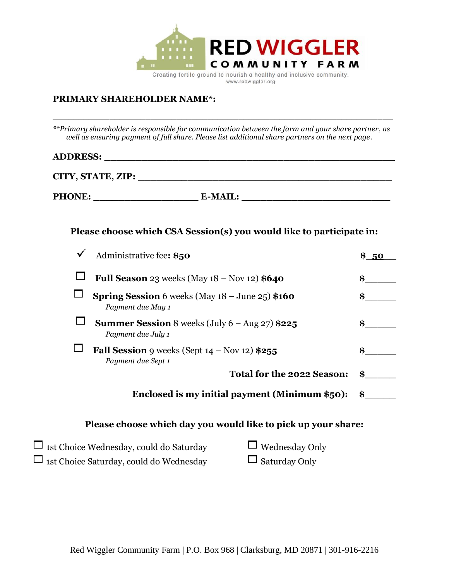

### **PRIMARY SHAREHOLDER NAME\*:**

*\*\*Primary shareholder is responsible for communication between the farm and your share partner, as well as ensuring payment of full share. Please list additional share partners on the next page.*

**\_\_\_\_\_\_\_\_\_\_\_\_\_\_\_\_\_\_\_\_\_\_\_\_\_\_\_\_\_\_\_\_\_\_\_\_\_\_\_\_\_\_\_\_\_\_\_\_\_\_\_\_\_\_\_\_\_\_\_\_\_\_\_\_\_\_**

# **ADDRESS: \_\_\_\_\_\_\_\_\_\_\_\_\_\_\_\_\_\_\_\_\_\_\_\_\_\_\_\_\_\_\_\_\_\_\_\_\_\_\_\_\_\_\_\_\_\_\_**

| CITY, STATE, ZIP: |                |  |
|-------------------|----------------|--|
| <b>PHONE:</b>     | <b>E-MAIL:</b> |  |

## **Please choose which CSA Session(s) you would like to participate in:**

| Administrative fee: \$50                                                               |    |
|----------------------------------------------------------------------------------------|----|
| Full Season 23 weeks (May $18 -$ Nov $12)$ \$640                                       | \$ |
| <b>Spring Session</b> 6 weeks (May $18 -$ June $25$ ) \$160<br>Payment due May 1       |    |
| <b>Summer Session</b> 8 weeks (July $6 - \text{Aug } 27$ ) \$225<br>Payment due July 1 | \$ |
| <b>Fall Session</b> 9 weeks (Sept $14 - Nov 12$ ) \$255<br>Payment due Sept 1          | \$ |
| <b>Total for the 2022 Season:</b>                                                      | \$ |
| Enclosed is my initial payment (Minimum \$50):                                         | \$ |
| Please choose which day you would like to pick up your share:                          |    |

| $\Box$ 1st Choice Wednesday, could do Saturday | $\Box$ Wednesday Only |
|------------------------------------------------|-----------------------|
| $\Box$ 1st Choice Saturday, could do Wednesday | $\Box$ Saturday Only  |